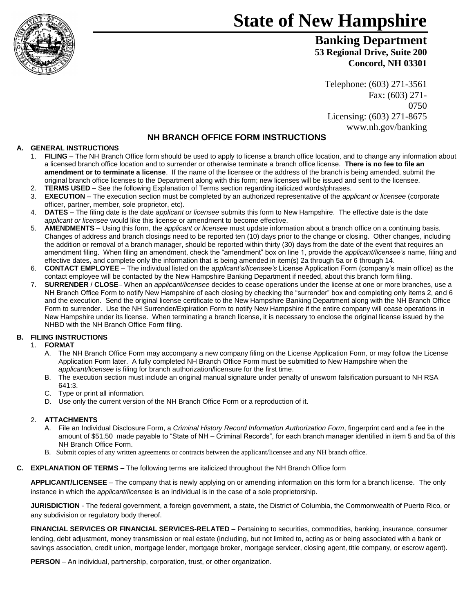

# **State of New Hampshire**

**Banking Department 53 Regional Drive, Suite 200 Concord, NH 03301**

Telephone: (603) 271-3561 Fax: (603) 271- 0750 Licensing: (603) 271-8675 www.nh.gov/banking

## **NH BRANCH OFFICE FORM INSTRUCTIONS**

### **A. GENERAL INSTRUCTIONS**

- 1. **FILING** The NH Branch Office form should be used to apply to license a branch office location, and to change any information about a licensed branch office location and to surrender or otherwise terminate a branch office license. **There is no fee to file an amendment or to terminate a license**. If the name of the licensee or the address of the branch is being amended, submit the original branch office licenses to the Department along with this form; new licenses will be issued and sent to the licensee.
- 2. **TERMS USED** See the following Explanation of Terms section regarding italicized words/phrases.
- 3. **EXECUTION**  The execution section must be completed by an authorized representative of the *applicant or licensee* (corporate officer, partner, member, sole proprietor, etc).
- 4. **DATES** The filing date is the date *applicant or licensee* submits this form to New Hampshire. The effective date is the date *applicant or licensee* would like this license or amendment to become effective.
- 5. **AMENDMENTS** Using this form, the *applicant or licensee* must update information about a branch office on a continuing basis. Changes of address and branch closings need to be reported ten (10) days prior to the change or closing. Other changes, including the addition or removal of a branch manager, should be reported within thirty (30) days from the date of the event that requires an amendment filing. When filing an amendment, check the "amendment" box on line 1, provide the *applicant/licensee's* name, filing and effective dates, and complete only the information that is being amended in item(s) 2a through 5a or 6 through 14.
- 6. **CONTACT EMPLOYEE** The individual listed on the *applicant's/licensee's* License Application Form (company's main office) as the contact employee will be contacted by the New Hampshire Banking Department if needed, about this branch form filing.
- 7. **SURRENDER** / **CLOSE** When an *applicant/licensee* decides to cease operations under the license at one or more branches, use a NH Branch Office Form to notify New Hampshire of each closing by checking the "surrender" box and completing only items 2, and 6 and the execution. Send the original license certificate to the New Hampshire Banking Department along with the NH Branch Office Form to surrender. Use the NH Surrender/Expiration Form to notify New Hampshire if the entire company will cease operations in New Hampshire under its license. When terminating a branch license, it is necessary to enclose the original license issued by the NHBD with the NH Branch Office Form filing.

#### **B. FILING INSTRUCTIONS**

#### 1. **FORMAT**

- A. The NH Branch Office Form may accompany a new company filing on the License Application Form, or may follow the License Application Form later. A fully completed NH Branch Office Form must be submitted to New Hampshire when the *applicant/licensee* is filing for branch authorization/licensure for the first time.
- B. The execution section must include an original manual signature under penalty of unsworn falsification pursuant to NH RSA 641:3.
- C. Type or print all information.
- D. Use only the current version of the NH Branch Office Form or a reproduction of it.

#### 2. **ATTACHMENTS**

- A. File an Individual Disclosure Form, a *Criminal History Record Information Authorization Form*, fingerprint card and a fee in the amount of \$51.50 made payable to "State of NH – Criminal Records", for each branch manager identified in item 5 and 5a of this NH Branch Office Form.
- B. Submit copies of any written agreements or contracts between the applicant/licensee and any NH branch office.

#### **C. EXPLANATION OF TERMS** – The following terms are italicized throughout the NH Branch Office form

**APPLICANT/LICENSEE** – The company that is newly applying on or amending information on this form for a branch license. The only instance in which the *applicant/licensee* is an individual is in the case of a sole proprietorship.

**JURISDICTION** - The federal government, a foreign government, a state, the District of Columbia, the Commonwealth of Puerto Rico, or any subdivision or regulatory body thereof.

**FINANCIAL SERVICES OR FINANCIAL SERVICES-RELATED** – Pertaining to securities, commodities, banking, insurance, consumer lending, debt adjustment, money transmission or real estate (including, but not limited to, acting as or being associated with a bank or savings association, credit union, mortgage lender, mortgage broker, mortgage servicer, closing agent, title company, or escrow agent).

**PERSON** – An individual, partnership, corporation, trust, or other organization.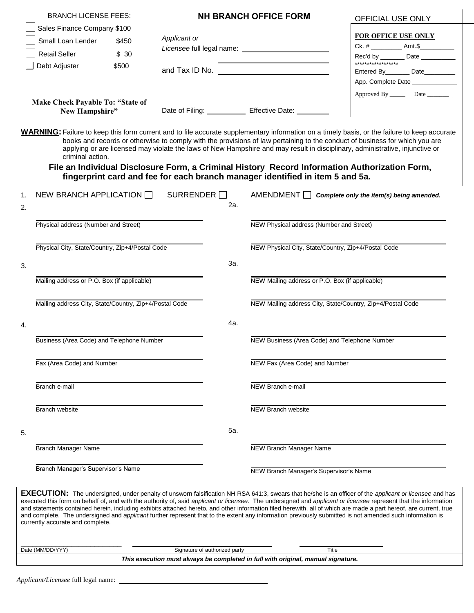| <b>BRANCH LICENSE FEES:</b>                            |       | <b>NH BRANCH OFFICE FORM</b> |                               |                                                                               | OFFICIAL USE ONLY                                                                                                                                                                                                                                                                                                                                                                                                                                                                                                                                                                                                                                                  |  |  |
|--------------------------------------------------------|-------|------------------------------|-------------------------------|-------------------------------------------------------------------------------|--------------------------------------------------------------------------------------------------------------------------------------------------------------------------------------------------------------------------------------------------------------------------------------------------------------------------------------------------------------------------------------------------------------------------------------------------------------------------------------------------------------------------------------------------------------------------------------------------------------------------------------------------------------------|--|--|
| Sales Finance Company \$100                            |       |                              |                               |                                                                               |                                                                                                                                                                                                                                                                                                                                                                                                                                                                                                                                                                                                                                                                    |  |  |
| Small Loan Lender                                      | \$450 | Applicant or                 |                               |                                                                               | <b>FOR OFFICE USE ONLY</b><br>Ck. # _____________ Amt.\$______________                                                                                                                                                                                                                                                                                                                                                                                                                                                                                                                                                                                             |  |  |
| <b>Retail Seller</b>                                   | \$30  |                              |                               |                                                                               |                                                                                                                                                                                                                                                                                                                                                                                                                                                                                                                                                                                                                                                                    |  |  |
| Debt Adjuster                                          | \$500 |                              |                               |                                                                               | Rec'd by _______ Date __________                                                                                                                                                                                                                                                                                                                                                                                                                                                                                                                                                                                                                                   |  |  |
|                                                        |       |                              |                               |                                                                               | Entered By_________ Date__________                                                                                                                                                                                                                                                                                                                                                                                                                                                                                                                                                                                                                                 |  |  |
|                                                        |       |                              |                               |                                                                               | App. Complete Date ____________                                                                                                                                                                                                                                                                                                                                                                                                                                                                                                                                                                                                                                    |  |  |
| <b>Make Check Payable To: "State of</b>                |       |                              |                               |                                                                               | Approved By __________ Date ___________                                                                                                                                                                                                                                                                                                                                                                                                                                                                                                                                                                                                                            |  |  |
| New Hampshire"                                         |       |                              |                               | Date of Filing: Effective Date: _______                                       |                                                                                                                                                                                                                                                                                                                                                                                                                                                                                                                                                                                                                                                                    |  |  |
| criminal action.                                       |       |                              |                               | fingerprint card and fee for each branch manager identified in item 5 and 5a. | <b>WARNING:</b> Failure to keep this form current and to file accurate supplementary information on a timely basis, or the failure to keep accurate<br>books and records or otherwise to comply with the provisions of law pertaining to the conduct of business for which you are<br>applying or are licensed may violate the laws of New Hampshire and may result in disciplinary, administrative, injunctive or<br>File an Individual Disclosure Form, a Criminal History Record Information Authorization Form,                                                                                                                                                |  |  |
| NEW BRANCH APPLICATION $\Box$<br>1.                    |       | $\mathsf{SURRENDER}$         |                               | AMENDMENT                                                                     | Complete only the item(s) being amended.                                                                                                                                                                                                                                                                                                                                                                                                                                                                                                                                                                                                                           |  |  |
| 2.                                                     |       |                              | 2a.                           |                                                                               |                                                                                                                                                                                                                                                                                                                                                                                                                                                                                                                                                                                                                                                                    |  |  |
|                                                        |       |                              |                               |                                                                               |                                                                                                                                                                                                                                                                                                                                                                                                                                                                                                                                                                                                                                                                    |  |  |
| Physical address (Number and Street)                   |       |                              |                               | NEW Physical address (Number and Street)                                      |                                                                                                                                                                                                                                                                                                                                                                                                                                                                                                                                                                                                                                                                    |  |  |
| Physical City, State/Country, Zip+4/Postal Code        |       |                              |                               | NEW Physical City, State/Country, Zip+4/Postal Code                           |                                                                                                                                                                                                                                                                                                                                                                                                                                                                                                                                                                                                                                                                    |  |  |
|                                                        |       |                              |                               |                                                                               |                                                                                                                                                                                                                                                                                                                                                                                                                                                                                                                                                                                                                                                                    |  |  |
| 3.                                                     |       |                              | За.                           |                                                                               |                                                                                                                                                                                                                                                                                                                                                                                                                                                                                                                                                                                                                                                                    |  |  |
| Mailing address or P.O. Box (if applicable)            |       |                              |                               | NEW Mailing address or P.O. Box (if applicable)                               |                                                                                                                                                                                                                                                                                                                                                                                                                                                                                                                                                                                                                                                                    |  |  |
|                                                        |       |                              |                               |                                                                               |                                                                                                                                                                                                                                                                                                                                                                                                                                                                                                                                                                                                                                                                    |  |  |
| Mailing address City, State/Country, Zip+4/Postal Code |       |                              |                               | NEW Mailing address City, State/Country, Zip+4/Postal Code                    |                                                                                                                                                                                                                                                                                                                                                                                                                                                                                                                                                                                                                                                                    |  |  |
| 4.                                                     |       |                              | 4a.                           |                                                                               |                                                                                                                                                                                                                                                                                                                                                                                                                                                                                                                                                                                                                                                                    |  |  |
| Business (Area Code) and Telephone Number              |       |                              |                               | NEW Business (Area Code) and Telephone Number                                 |                                                                                                                                                                                                                                                                                                                                                                                                                                                                                                                                                                                                                                                                    |  |  |
|                                                        |       |                              |                               |                                                                               |                                                                                                                                                                                                                                                                                                                                                                                                                                                                                                                                                                                                                                                                    |  |  |
| Fax (Area Code) and Number                             |       |                              |                               | NEW Fax (Area Code) and Number                                                |                                                                                                                                                                                                                                                                                                                                                                                                                                                                                                                                                                                                                                                                    |  |  |
|                                                        |       |                              |                               |                                                                               |                                                                                                                                                                                                                                                                                                                                                                                                                                                                                                                                                                                                                                                                    |  |  |
| Branch e-mail                                          |       |                              |                               | NEW Branch e-mail                                                             |                                                                                                                                                                                                                                                                                                                                                                                                                                                                                                                                                                                                                                                                    |  |  |
|                                                        |       |                              |                               |                                                                               |                                                                                                                                                                                                                                                                                                                                                                                                                                                                                                                                                                                                                                                                    |  |  |
| Branch website                                         |       |                              |                               | NEW Branch website                                                            |                                                                                                                                                                                                                                                                                                                                                                                                                                                                                                                                                                                                                                                                    |  |  |
| 5.                                                     |       |                              | 5а.                           |                                                                               |                                                                                                                                                                                                                                                                                                                                                                                                                                                                                                                                                                                                                                                                    |  |  |
|                                                        |       |                              |                               |                                                                               |                                                                                                                                                                                                                                                                                                                                                                                                                                                                                                                                                                                                                                                                    |  |  |
| <b>Branch Manager Name</b>                             |       |                              |                               | NEW Branch Manager Name                                                       |                                                                                                                                                                                                                                                                                                                                                                                                                                                                                                                                                                                                                                                                    |  |  |
| Branch Manager's Supervisor's Name                     |       |                              |                               | NEW Branch Manager's Supervisor's Name                                        |                                                                                                                                                                                                                                                                                                                                                                                                                                                                                                                                                                                                                                                                    |  |  |
|                                                        |       |                              |                               |                                                                               |                                                                                                                                                                                                                                                                                                                                                                                                                                                                                                                                                                                                                                                                    |  |  |
| currently accurate and complete.                       |       |                              |                               |                                                                               | <b>EXECUTION:</b> The undersigned, under penalty of unsworn falsification NH RSA 641:3, swears that he/she is an officer of the applicant or licensee and has<br>executed this form on behalf of, and with the authority of, said applicant or licensee. The undersigned and applicant or licensee represent that the information<br>and statements contained herein, including exhibits attached hereto, and other information filed herewith, all of which are made a part hereof, are current, true<br>and complete. The undersigned and applicant further represent that to the extent any information previously submitted is not amended such information is |  |  |
|                                                        |       |                              |                               |                                                                               |                                                                                                                                                                                                                                                                                                                                                                                                                                                                                                                                                                                                                                                                    |  |  |
| Date (MM/DD/YYY)                                       |       |                              | Signature of authorized party | Title                                                                         |                                                                                                                                                                                                                                                                                                                                                                                                                                                                                                                                                                                                                                                                    |  |  |